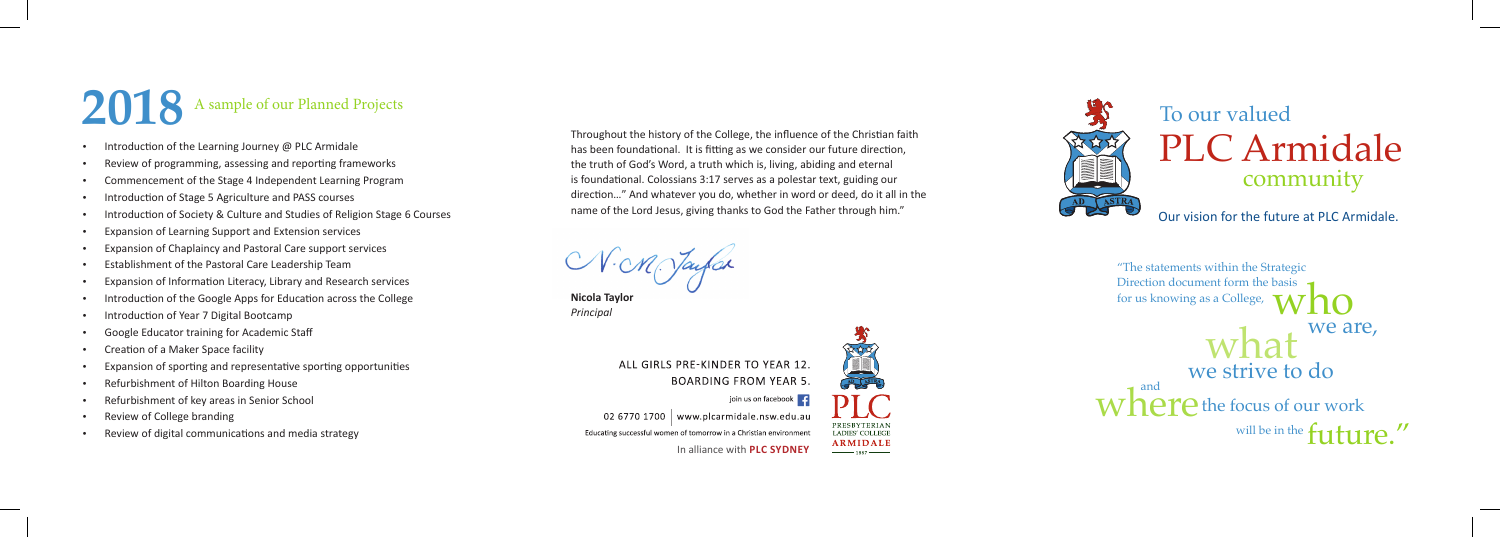In alliance with **PLC SYDNEY**



Throughout the history of the College, the influence of the Christian faith has been foundational. It is fitting as we consider our future direction, the truth of God's Word, a truth which is, living, abiding and eternal is foundational. Colossians 3:17 serves as a polestar text, guiding our direction…" And whatever you do, whether in word or deed, do it all in the name of the Lord Jesus, giving thanks to God the Father through him."

N.M. Jaufar

**Nicola Taylor** *Principal*

PRESBYTERIAN **LADIES' COLLEGE ARMIDALE** 

 $\frac{1}{1887}$ 



ALL GIRLS PRE-KINDER TO YEAR 12. **BOARDING FROM YEAR 5.** 

02 6770 1700 | www.plcarmidale.nsw.edu.au Educating successful women of tomorrow in a Christian environment

Our vision for the future at PLC Armidale.

- Introduction of the Learning Journey @ PLC Armidale
- Review of programming, assessing and reporting frameworks
- Commencement of the Stage 4 Independent Learning Program
- Introduction of Stage 5 Agriculture and PASS courses
- Introduction of Society & Culture and Studies of Religion Stage 6 Courses
- Expansion of Learning Support and Extension services
- Expansion of Chaplaincy and Pastoral Care support services
- Establishment of the Pastoral Care Leadership Team
- Expansion of Information Literacy, Library and Research services
- Introduction of the Google Apps for Education across the College
- Introduction of Year 7 Digital Bootcamp
- Google Educator training for Academic Staff
- Creation of a Maker Space facility
- Expansion of sporting and representative sporting opportunities
- Refurbishment of Hilton Boarding House
- Refurbishment of key areas in Senior School
- Review of College branding
- Review of digital communications and media strategy

"The statements within the Strategic Direction document form the basis for us knowing as a College, we are, who we strive to do what

will be in the  $f$ <sup>11</sup> $11$  $W$ <sup>and</sup>  $P$  the focus of our work



## PLC Armidale To our valued community